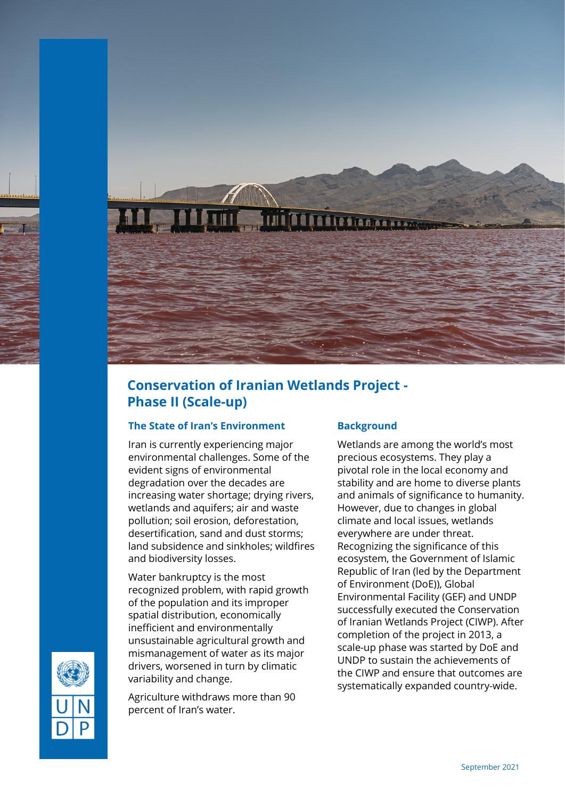

## **Conservation of Iranian Wetlands Project - Phase II (Scale-up)**

## **The State of Iran's Environment**

Iran is currently experiencing major environmental challenges. Some of the evident signs of environmental degradation over the decades are increasing water shortage; drying rivers, wetlands and aquifers; air and waste pollution; soil erosion, deforestation, desertification, sand and dust storms; land subsidence and sinkholes; wildfires and biodiversity losses.

Water bankruptcy is the most recognized problem, with rapid growth of the population and its improper spatial distribution, economically inefficient and environmentally unsustainable agricultural growth and mismanagement of water as its major drivers, worsened in turn by climatic variability and change.

Agriculture withdraws more than 90 percent of Iran's water.

## **Background**

Wetlands are among the world's most precious ecosystems. They play a pivotal role in the local economy and stability and are home to diverse plants and animals of significance to humanity. However, due to changes in global climate and local issues, wetlands everywhere are under threat. Recognizing the significance of this ecosystem, the Government of Islamic Republic of Iran (led by the Department of Environment (DoE)), Global Environmental Facility (GEF) and UNDP successfully executed the Conservation of Iranian Wetlands Project (CIWP). After completion of the project in 2013, a scale-up phase was started by DoE and UNDP to sustain the achievements of the CIWP and ensure that outcomes are systematically expanded country-wide.